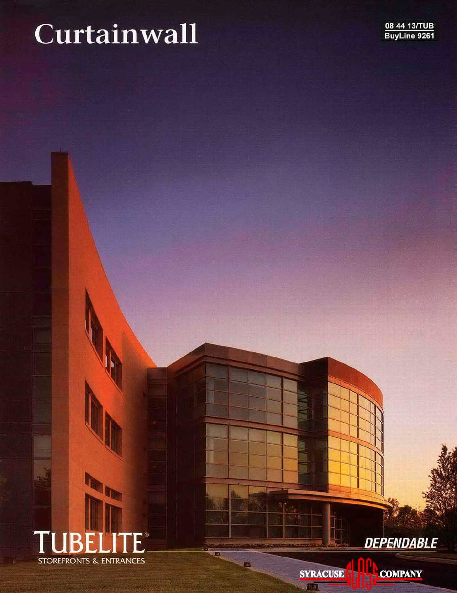# Curtainwall



**DEPENDABLE** 

**SYRACUSE** 

 $\overline{mn}$ 

**Cili** 

I

**COMPANY**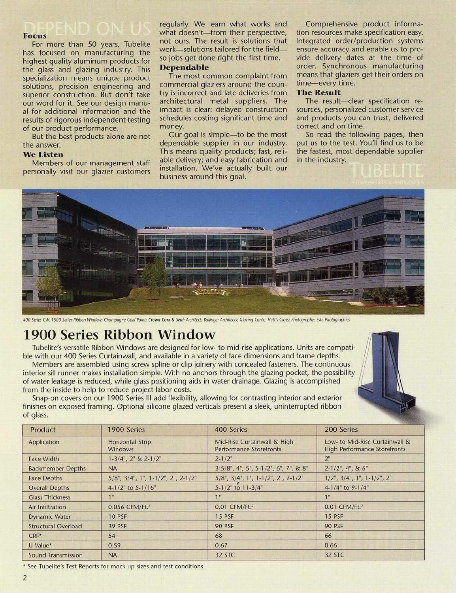## **Focus**

For more than 50 years, Tubelite has focused on manufacturing the highest quality aluminum products for the glass and glazing industry. This specialization means unique product solutions, precision engineering and superior construction. But don't take our word for it. See our design manual for additional information and the results of rigorous independent testing of our product performance.

But the best products alone are not the answer.

#### **We Listen**

Members of our management staff personally visit our glazier customers

regularly. We learn what works and what doesn't-from their perspective, not ours. The result is solutions that work-solutions tailored for the fieldso jobs get done right the first time.

#### **Dependable**

The most common complaint from commercial glaziers around the country is incorrect and late deliveries from architectural metal suppliers. The impact is clear: delayed construction schedules costing significant time and money.

Our goal is simple-to be the most dependable supplier in our industry. This means quality products; fast, reliable delivery; and easy fabrication and installation. We've actually built our business around this goal.

Comprehensive product information resources make specification easy. Integrated order/production systems ensure accuracy and enable us to provide delivery dates at the time of order. Synchronous manufacturing means that glaziers get their orders on time-every time.

#### **The Result**

The result-clear specification resources, personalized customer service and products you can trust, delivered correct and on time.

So read the following pages, then put us to the test. You'll find us to be the fastest, most dependable supplier in the industry.



400 Series CW, 1900 Series Ribbon Window; Champagne Gold Paint; Crown Cork & Seal; Architect: Ballinger Architects; Glazing Contr.: Hutt's Glass; Photography: Esto Photographics

## 1900 Series Ribbon Window

Tubelite's versatile Ribbon Windows are designed for low- to mid-rise applications. Units are compatible with our 400 Series Curtainwall, and available in a variety of face dimensions and frame depths.

Members are assembled using screw spline or clip joinery with concealed fasteners. The continuous interior sill runner makes installation simple. With no anchors through the glazing pocket, the possibility of water leakage is reduced, while glass positioning aids in water drainage. Glazing is accomplished from the inside to help to reduce project labor costs.

Snap-on covers on our 1900 Series III add flexibility, allowing for contrasting interior and exterior finishes on exposed framing. Optional silicone glazed verticals present a sleek, uninterrupted ribbon of glass.

| Product                    | 1900 Series                               | 400 Series                                                    | 200 Series                                                            |
|----------------------------|-------------------------------------------|---------------------------------------------------------------|-----------------------------------------------------------------------|
| Application                | <b>Horizontal Strip</b><br><b>Windows</b> | Mid-Rise Curtainwall & High<br><b>Performance Storefronts</b> | Low- to Mid-Rise Curtainwall &<br><b>High Performance Storefronts</b> |
| <b>Face Width</b>          | $1-3/4$ ", $2$ " & $2-1/2$ "              | $2 - 1/2"$                                                    | 2 <sup>n</sup>                                                        |
| <b>Backmember Depths</b>   | <b>NA</b>                                 | $3-5/8$ ", 4", 5", 5-1/2", 6", 7", & 8"                       | $2-1/2$ ", 4", & 6"                                                   |
| <b>Face Depths</b>         | 5/8", 3/4", 1", 1-1/2", 2", 2-1/2"        | $5/8$ ", $3/4$ ", $1$ ", $1-1/2$ ", $2$ ", $2-1/2$ "          | $1/2$ ", $3/4$ ", $1$ ", $1-1/2$ ", $2$ "                             |
| <b>Overall Depths</b>      | 4-1/2" to 5-1/16"                         | 5-1/2" to 11-3/4"                                             | $4-1/4"$ to 9-1/4"                                                    |
| <b>Glass Thickness</b>     | 1"                                        | 1 <sup>n</sup>                                                | 1 <sup>ii</sup>                                                       |
| Air Infiltration           | 0.056 CFM/Ft. <sup>2</sup>                | 0.01 CFM/Ft. <sup>2</sup>                                     | 0.01 CFM/Ft. <sup>2</sup>                                             |
| <b>Dynamic Water</b>       | <b>10 PSF</b>                             | <b>15 PSF</b>                                                 | <b>15 PSF</b>                                                         |
| <b>Structural Overload</b> | 39 PSF                                    | <b>90 PSF</b>                                                 | <b>90 PSF</b>                                                         |
| $CRF*$                     | 54                                        | 68                                                            | 66                                                                    |
| U Value*                   | 0.59                                      | 0.67                                                          | 0.66                                                                  |
| Sound Transmission         | <b>NA</b>                                 | 32 STC                                                        | 32 STC                                                                |

\* See Tubelite's Test Reports for mock up sizes and test conditions.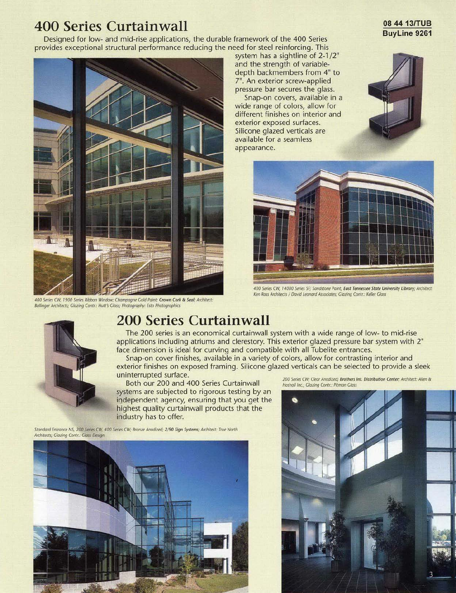#### **400 Series Curtainwall**

Designed for low- and mid-rise applications, the durable framework of the 400 Series provides exceptional structural performance reducing the need for steel reinforcing. This



400 Series CW, 1900 Series Ribbon Window; Champagne Gold Paint; Crown Cork & Seal; Architect: Ballinger Architects; Glazing Contr.: Hutt's Glass; Photography: Esto Photographics

system has a sightline of 2-1/2" and the strength of variabledepth backmembers from 4" to 7". An exterior screw-applied pressure bar secures the glass.

Snap-on covers, available in a wide range of colors, allow for different finishes on interior and exterior exposed surfaces. Silicone glazed verticals are available for a seamless appearance.



08 44 13/TUB





400 Series CW, 14000 Series SF; Sandstone Paint; East Tennessee State University Library; Architect: Ken Ross Architects / David Leonard Associates; Glazing Contr.: Keller Glass



## **200 Series Curtainwall**

The 200 series is an economical curtainwall system with a wide range of low- to mid-rise applications including atriums and clerestory. This exterior glazed pressure bar system with 2" face dimension is ideal for curving and compatible with all Tubelite entrances.

Snap-on cover finishes, available in a variety of colors, allow for contrasting interior and exterior finishes on exposed framing. Silicone glazed verticals can be selected to provide a sleek uninterrupted surface.

Both our 200 and 400 Series Curtainwall systems are subjected to rigorous testing by an independent agency, ensuring that you get the highest quality curtainwall products that the industry has to offer.

Standard Entrance NS, 200 Series CW, 400 Series CW; Bronze Anodized; 2/90 Sign Systems; Architect: True North Architects; Glazing Contr.: Glass Design



200 Series CW; Clear Anodized; Brothers Int. Distribution Center; Architect: Allen & Hoshall Inc.; Glazing Contr.: Pitman Glass